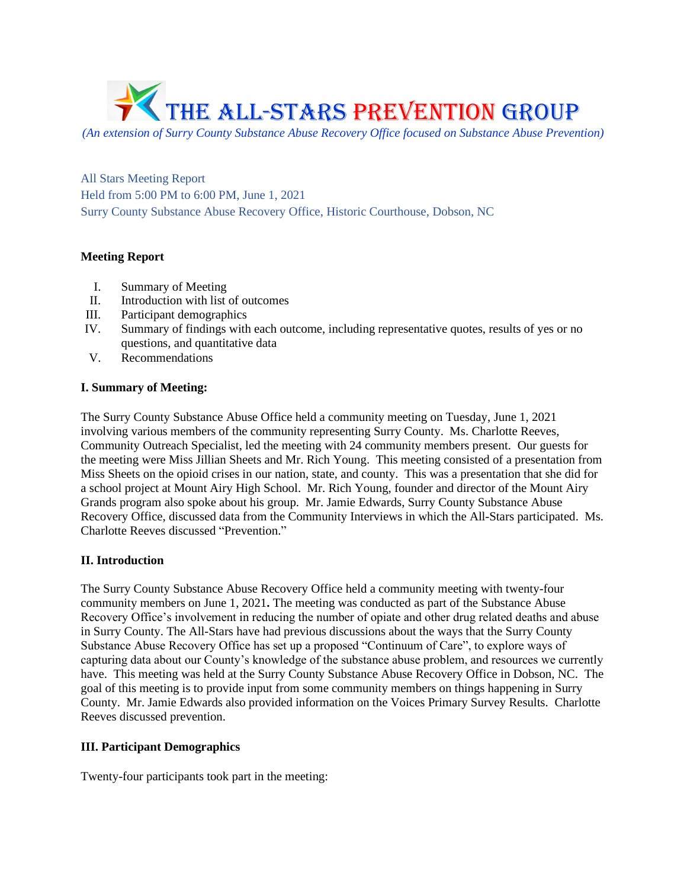

*(An extension of Surry County Substance Abuse Recovery Office focused on Substance Abuse Prevention)*

All Stars Meeting Report Held from 5:00 PM to 6:00 PM, June 1, 2021 Surry County Substance Abuse Recovery Office, Historic Courthouse, Dobson, NC

## **Meeting Report**

- I. Summary of Meeting
- II. Introduction with list of outcomes
- III. Participant demographics
- IV. Summary of findings with each outcome, including representative quotes, results of yes or no questions, and quantitative data
- V. Recommendations

## **I. Summary of Meeting:**

The Surry County Substance Abuse Office held a community meeting on Tuesday, June 1, 2021 involving various members of the community representing Surry County. Ms. Charlotte Reeves, Community Outreach Specialist, led the meeting with 24 community members present. Our guests for the meeting were Miss Jillian Sheets and Mr. Rich Young. This meeting consisted of a presentation from Miss Sheets on the opioid crises in our nation, state, and county. This was a presentation that she did for a school project at Mount Airy High School. Mr. Rich Young, founder and director of the Mount Airy Grands program also spoke about his group. Mr. Jamie Edwards, Surry County Substance Abuse Recovery Office, discussed data from the Community Interviews in which the All-Stars participated. Ms. Charlotte Reeves discussed "Prevention."

# **II. Introduction**

The Surry County Substance Abuse Recovery Office held a community meeting with twenty-four community members on June 1, 2021**.** The meeting was conducted as part of the Substance Abuse Recovery Office's involvement in reducing the number of opiate and other drug related deaths and abuse in Surry County. The All-Stars have had previous discussions about the ways that the Surry County Substance Abuse Recovery Office has set up a proposed "Continuum of Care", to explore ways of capturing data about our County's knowledge of the substance abuse problem, and resources we currently have. This meeting was held at the Surry County Substance Abuse Recovery Office in Dobson, NC. The goal of this meeting is to provide input from some community members on things happening in Surry County. Mr. Jamie Edwards also provided information on the Voices Primary Survey Results. Charlotte Reeves discussed prevention.

## **III. Participant Demographics**

Twenty-four participants took part in the meeting: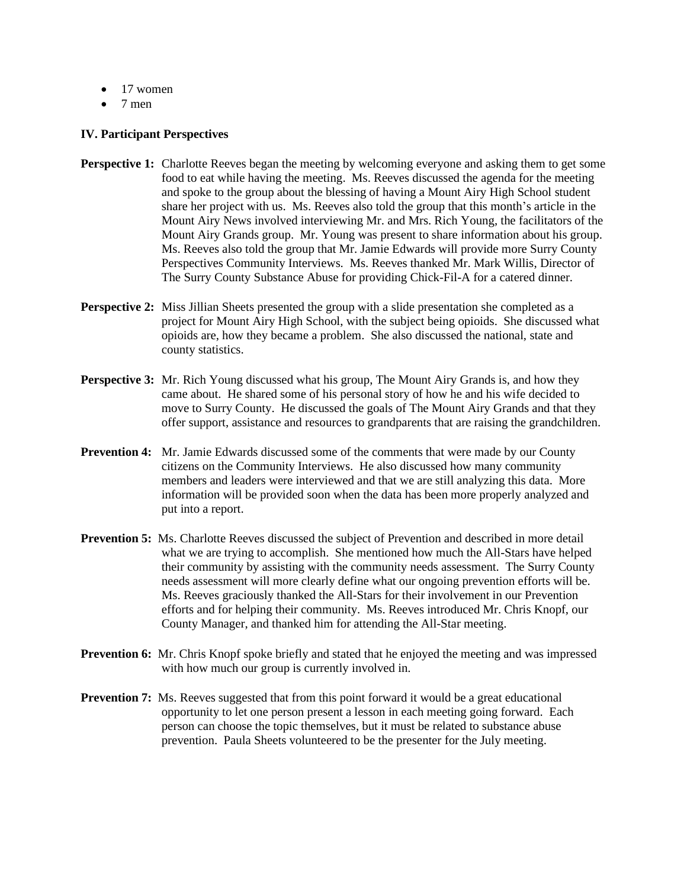- $\bullet$  17 women
- 7 men

#### **IV. Participant Perspectives**

- **Perspective 1:** Charlotte Reeves began the meeting by welcoming everyone and asking them to get some food to eat while having the meeting. Ms. Reeves discussed the agenda for the meeting and spoke to the group about the blessing of having a Mount Airy High School student share her project with us. Ms. Reeves also told the group that this month's article in the Mount Airy News involved interviewing Mr. and Mrs. Rich Young, the facilitators of the Mount Airy Grands group. Mr. Young was present to share information about his group. Ms. Reeves also told the group that Mr. Jamie Edwards will provide more Surry County Perspectives Community Interviews. Ms. Reeves thanked Mr. Mark Willis, Director of The Surry County Substance Abuse for providing Chick-Fil-A for a catered dinner.
- **Perspective 2:** Miss Jillian Sheets presented the group with a slide presentation she completed as a project for Mount Airy High School, with the subject being opioids. She discussed what opioids are, how they became a problem. She also discussed the national, state and county statistics.
- **Perspective 3:** Mr. Rich Young discussed what his group, The Mount Airy Grands is, and how they came about. He shared some of his personal story of how he and his wife decided to move to Surry County. He discussed the goals of The Mount Airy Grands and that they offer support, assistance and resources to grandparents that are raising the grandchildren.
- **Prevention 4:** Mr. Jamie Edwards discussed some of the comments that were made by our County citizens on the Community Interviews. He also discussed how many community members and leaders were interviewed and that we are still analyzing this data. More information will be provided soon when the data has been more properly analyzed and put into a report.
- **Prevention 5:** Ms. Charlotte Reeves discussed the subject of Prevention and described in more detail what we are trying to accomplish. She mentioned how much the All-Stars have helped their community by assisting with the community needs assessment. The Surry County needs assessment will more clearly define what our ongoing prevention efforts will be. Ms. Reeves graciously thanked the All-Stars for their involvement in our Prevention efforts and for helping their community. Ms. Reeves introduced Mr. Chris Knopf, our County Manager, and thanked him for attending the All-Star meeting.
- **Prevention 6:** Mr. Chris Knopf spoke briefly and stated that he enjoyed the meeting and was impressed with how much our group is currently involved in.
- **Prevention 7:** Ms. Reeves suggested that from this point forward it would be a great educational opportunity to let one person present a lesson in each meeting going forward. Each person can choose the topic themselves, but it must be related to substance abuse prevention. Paula Sheets volunteered to be the presenter for the July meeting.